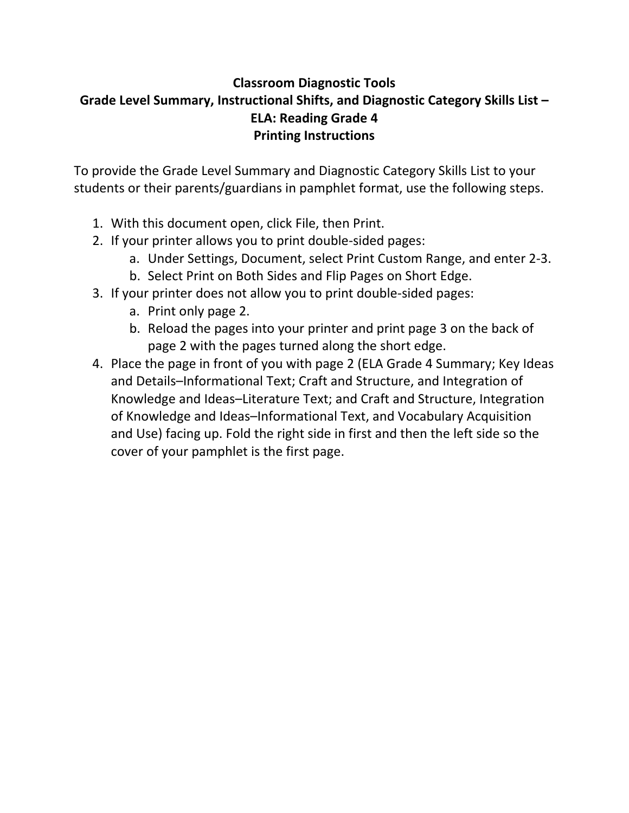# **Classroom Diagnostic Tools Grade Level Summary, Instructional Shifts, and Diagnostic Category Skills List – ELA: Reading Grade 4 Printing Instructions**

To provide the Grade Level Summary and Diagnostic Category Skills List to your students or their parents/guardians in pamphlet format, use the following steps.

- 1. With this document open, click File, then Print.
- 2. If your printer allows you to print double‐sided pages:
	- a. Under Settings, Document, select Print Custom Range, and enter 2‐3.
	- b. Select Print on Both Sides and Flip Pages on Short Edge.
- 3. If your printer does not allow you to print double‐sided pages:
	- a. Print only page 2.
	- b. Reload the pages into your printer and print page 3 on the back of page 2 with the pages turned along the short edge.
- 4. Place the page in front of you with page 2 (ELA Grade 4 Summary; Key Ideas and Details–Informational Text; Craft and Structure, and Integration of Knowledge and Ideas–Literature Text; and Craft and Structure, Integration of Knowledge and Ideas–Informational Text, and Vocabulary Acquisition and Use) facing up. Fold the right side in first and then the left side so the cover of your pamphlet is the first page.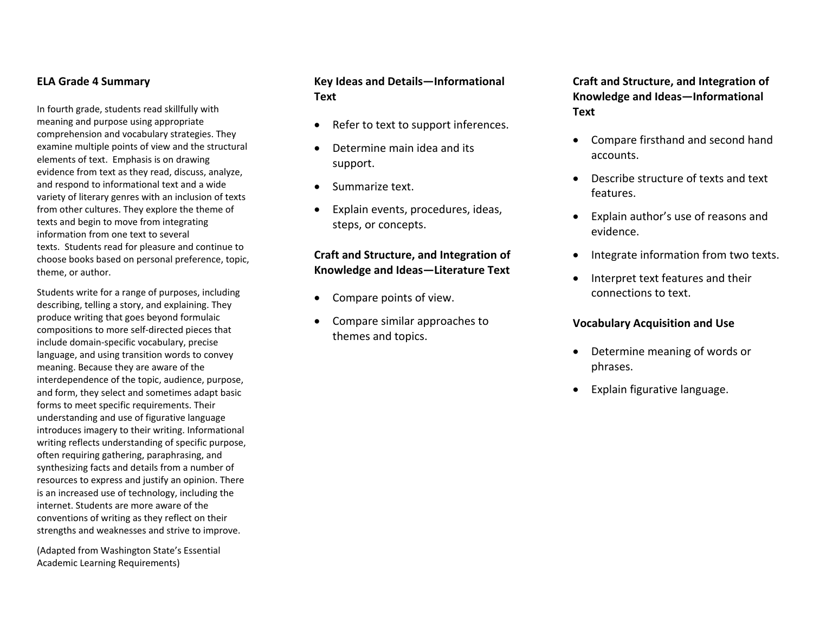#### **ELA Grade 4 Summary**

In fourth grade, students read skillfully with meaning and purpose using appropriate comprehension and vocabulary strategies. They examine multiple points of view and the structural elements of text. Emphasis is on drawing evidence from text as they read, discuss, analyze, and respond to informational text and <sup>a</sup> wide variety of literary genres with an inclusion of texts from other cultures. They explore the theme of texts and begin to move from integrating information from one text to several texts. Students read for pleasure and continue to choose books based on personal preference, topic, theme, or author.

Students write for <sup>a</sup> range of purposes, including describing, telling <sup>a</sup> story, and explaining. They produce writing that goes beyond formulaic compositions to more self‐directed pieces that include domain‐specific vocabulary, precise language, and using transition words to convey meaning. Because they are aware of the interdependence of the topic, audience, purpose, and form, they select and sometimes adapt basic forms to meet specific requirements. Their understanding and use of figurative language introduces imagery to their writing. Informational writing reflects understanding of specific purpose, often requiring gathering, paraphrasing, and synthesizing facts and details from <sup>a</sup> number of resources to express and justify an opinion. There is an increased use of technology, including the internet. Students are more aware of the conventions of writing as they reflect on their strengths and weaknesses and strive to improve.

(Adapted from Washington State's Essential Academic Learning Requirements)

# **Key Ideas and Details—Informational Text**

- $\bullet$ • Refer to text to support inferences.
- $\bullet$ • Determine main idea and its support.
- $\bullet$ • Summarize text.
- $\bullet$  Explain events, procedures, ideas, steps, or concepts.

# **Craft and Structure, and Integration of Knowledge and Ideas—Literature Text**

- $\bullet$ Compare points of view.
- $\bullet$  Compare similar approaches to themes and topics.

**Craft and Structure, and Integration of Knowledge and Ideas—Informational Text**

- . Compare firsthand and second hand accounts.
- Describe structure of texts and text features.
- Explain author's use of reasons and evidence.
- . Integrate information from two texts.
- Interpret text features and their connections to text.

#### **Vocabulary Acquisition and Use**

- Determine meaning of words or phrases.
- . Explain figurative language.